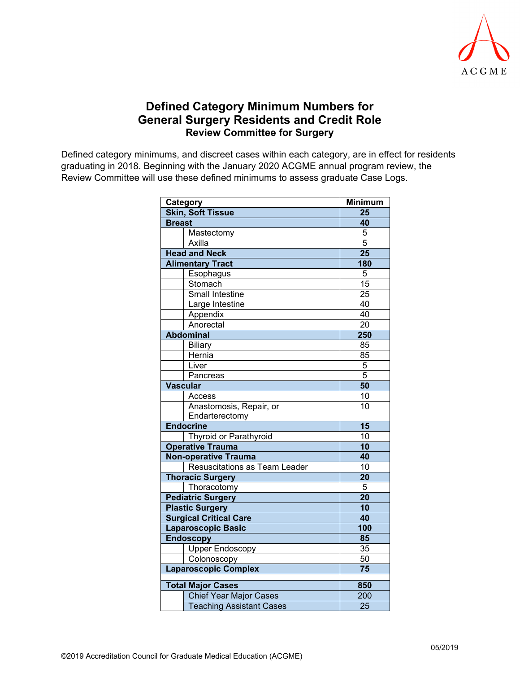

## **Defined Category Minimum Numbers for General Surgery Residents and Credit Role Review Committee for Surgery**

Defined category minimums, and discreet cases within each category, are in effect for residents graduating in 2018. Beginning with the January 2020 ACGME annual program review, the Review Committee will use these defined minimums to assess graduate Case Logs.

| Category                        | <b>Minimum</b>  |
|---------------------------------|-----------------|
| <b>Skin, Soft Tissue</b>        | 25              |
| <b>Breast</b>                   | 40              |
| Mastectomy                      | 5               |
| Axilla                          | $\overline{5}$  |
| <b>Head and Neck</b>            | $\overline{25}$ |
| <b>Alimentary Tract</b>         | 180             |
| Esophagus                       | 5               |
| Stomach                         | $\overline{15}$ |
| Small Intestine                 | $\overline{25}$ |
| Large Intestine                 | 40              |
| Appendix                        | 40              |
| Anorectal                       | $\overline{20}$ |
| <b>Abdominal</b>                | 250             |
| Biliary                         | 85              |
| Hernia                          | 85              |
| Liver                           | $\overline{5}$  |
| Pancreas                        | $\overline{5}$  |
| <b>Vascular</b>                 | 50              |
| Access                          | 10              |
| Anastomosis, Repair, or         | 10              |
| Endarterectomy                  |                 |
| <b>Endocrine</b>                | $\overline{15}$ |
| Thyroid or Parathyroid          | 10              |
| <b>Operative Trauma</b>         | 10              |
| <b>Non-operative Trauma</b>     | 40              |
| Resuscitations as Team Leader   | 10              |
| <b>Thoracic Surgery</b>         | 20              |
| Thoracotomy                     | 5               |
| <b>Pediatric Surgery</b>        | 20              |
| <b>Plastic Surgery</b>          | 10              |
| <b>Surgical Critical Care</b>   | 40              |
| <b>Laparoscopic Basic</b>       | 100             |
| <b>Endoscopy</b>                | 85              |
| <b>Upper Endoscopy</b>          | 35              |
| Colonoscopy                     | 50              |
| <b>Laparoscopic Complex</b>     | 75              |
| <b>Total Major Cases</b>        | 850             |
| <b>Chief Year Major Cases</b>   | 200             |
| <b>Teaching Assistant Cases</b> | 25              |
|                                 |                 |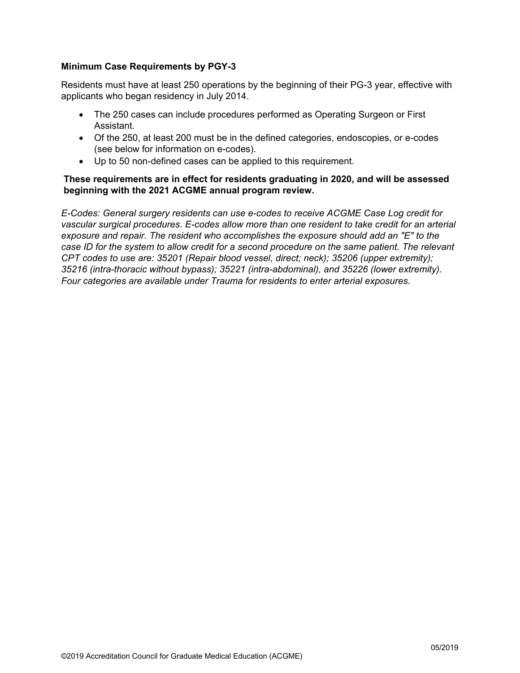### **Minimum Case Requirements by PGY-3**

Residents must have at least 250 operations by the beginning of their PG-3 year, effective with applicants who began residency in July 2014.

- The 250 cases can include procedures performed as Operating Surgeon or First Assistant.
- Of the 250, at least 200 must be in the defined categories, endoscopies, or e-codes (see below for information on e-codes).
- Up to 50 non-defined cases can be applied to this requirement.

### **These requirements are in effect for residents graduating in 2020, and will be assessed beginning with the 2021 ACGME annual program review.**

*E-Codes: General surgery residents can use e-codes to receive ACGME Case Log credit for vascular surgical procedures. E-codes allow more than one resident to take credit for an arterial exposure and repair. The resident who accomplishes the exposure should add an "E" to the case ID for the system to allow credit for a second procedure on the same patient. The relevant CPT codes to use are: 35201 (Repair blood vessel, direct; neck); 35206 (upper extremity); 35216 (intra-thoracic without bypass); 35221 (intra-abdominal), and 35226 (lower extremity). Four categories are available under Trauma for residents to enter arterial exposures.*